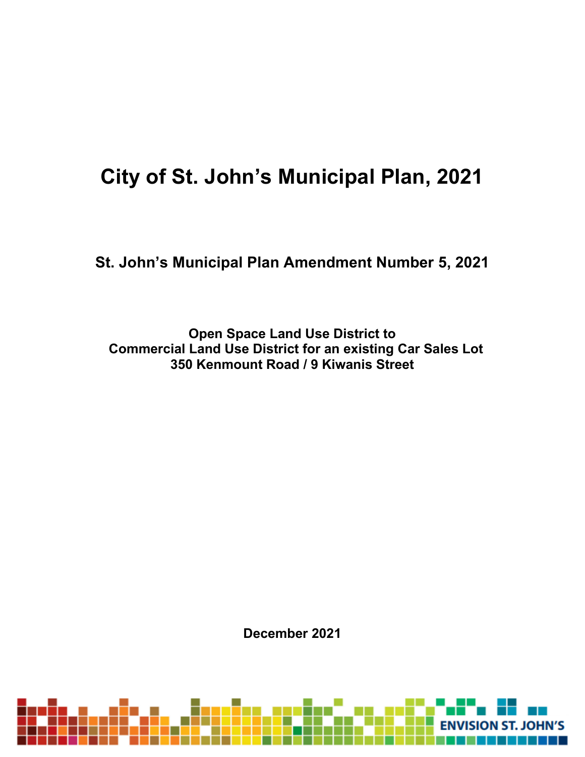# **City of St. John's Municipal Plan, 2021**

**St. John's Municipal Plan Amendment Number 5, 2021**

**Open Space Land Use District to Commercial Land Use District for an existing Car Sales Lot 350 Kenmount Road / 9 Kiwanis Street**

**December 2021**

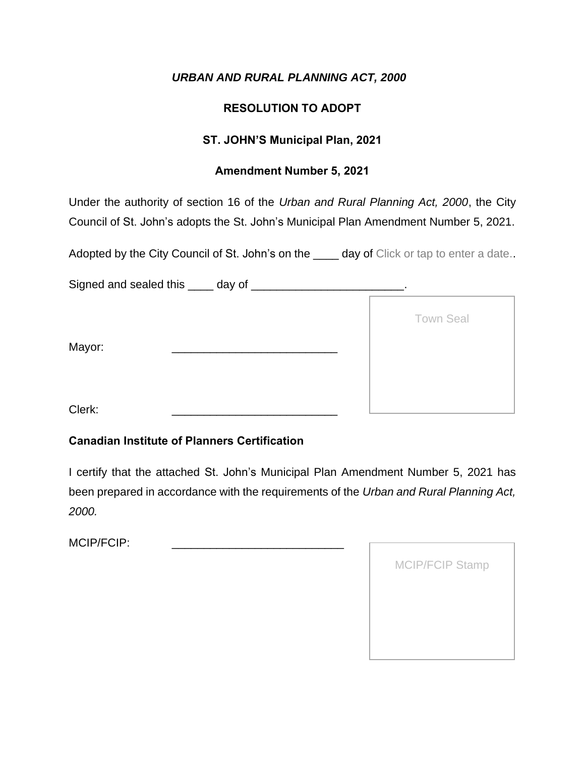#### **RESOLUTION TO ADOPT**

#### **ST. JOHN'S Municipal Plan, 2021**

#### **Amendment Number 5, 2021**

Under the authority of section 16 of the *Urban and Rural Planning Act, 2000*, the City Council of St. John's adopts the St. John's Municipal Plan Amendment Number 5, 2021.

Adopted by the City Council of St. John's on the \_\_\_\_ day of Click or tap to enter a date..

Signed and sealed this \_\_\_\_ day of \_\_\_\_\_\_\_\_\_\_\_\_\_\_\_\_\_\_\_\_\_\_\_\_.

|        | <b>Town Seal</b> |
|--------|------------------|
| Mayor: |                  |
|        |                  |
| Clerk: |                  |

#### **Canadian Institute of Planners Certification**

I certify that the attached St. John's Municipal Plan Amendment Number 5, 2021 has been prepared in accordance with the requirements of the *Urban and Rural Planning Act, 2000.*

| <b>MCIP/FCIP Stamp</b> |
|------------------------|
|                        |
|                        |
|                        |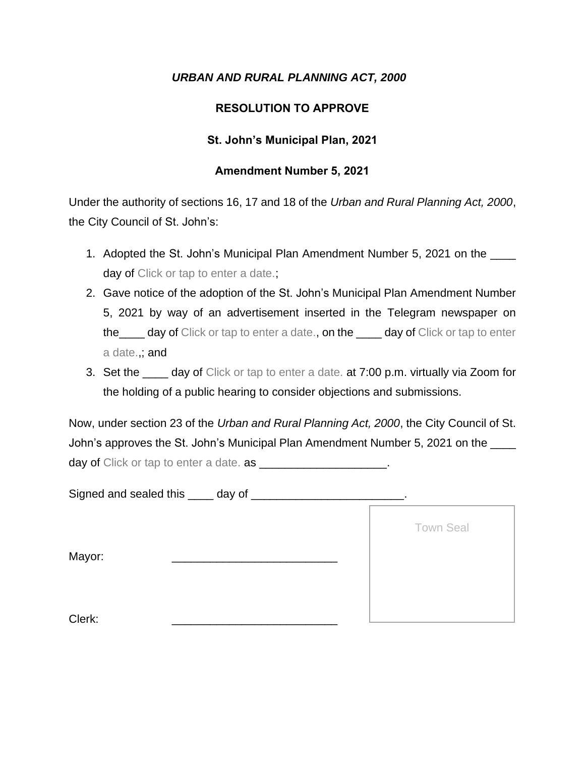#### **RESOLUTION TO APPROVE**

#### **St. John's Municipal Plan, 2021**

#### **Amendment Number 5, 2021**

Under the authority of sections 16, 17 and 18 of the *Urban and Rural Planning Act, 2000*, the City Council of St. John's:

- 1. Adopted the St. John's Municipal Plan Amendment Number 5, 2021 on the day of Click or tap to enter a date.;
- 2. Gave notice of the adoption of the St. John's Municipal Plan Amendment Number 5, 2021 by way of an advertisement inserted in the Telegram newspaper on the\_\_\_\_ day of Click or tap to enter a date., on the \_\_\_\_ day of Click or tap to enter a date.,; and
- 3. Set the \_\_\_\_ day of Click or tap to enter a date. at 7:00 p.m. virtually via Zoom for the holding of a public hearing to consider objections and submissions.

Now, under section 23 of the *Urban and Rural Planning Act, 2000*, the City Council of St. John's approves the St. John's Municipal Plan Amendment Number 5, 2021 on the day of Click or tap to enter a date. as  $\blacksquare$ 

Signed and sealed this \_\_\_\_ day of \_\_\_\_\_\_\_\_\_\_\_\_\_\_\_\_\_\_\_\_\_\_\_\_.

Mayor:

Town Seal

Clerk: \_\_\_\_\_\_\_\_\_\_\_\_\_\_\_\_\_\_\_\_\_\_\_\_\_\_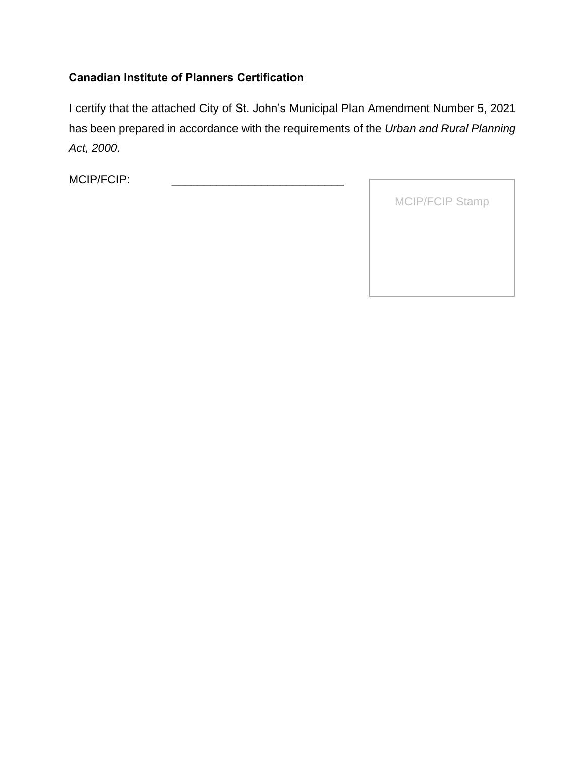#### **Canadian Institute of Planners Certification**

I certify that the attached City of St. John's Municipal Plan Amendment Number 5, 2021 has been prepared in accordance with the requirements of the *Urban and Rural Planning Act, 2000.*

| <b>MCIP/FCIP Stamp</b> |
|------------------------|
|                        |
|                        |
|                        |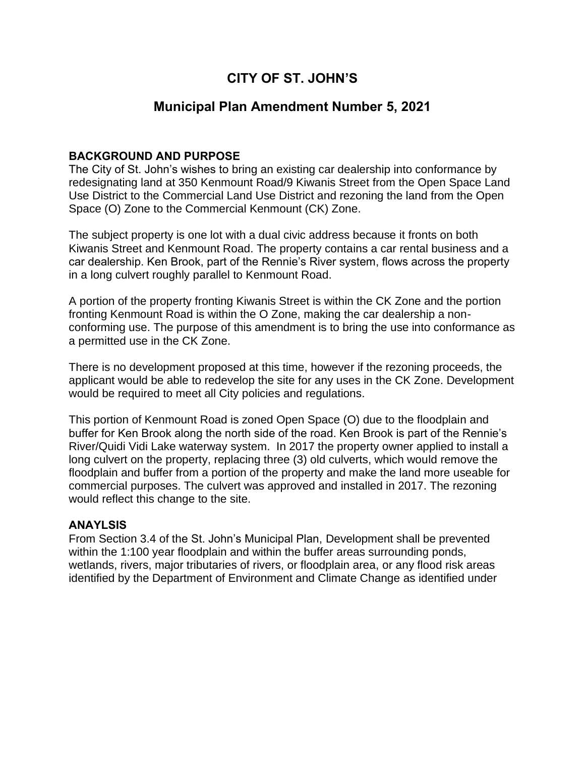## **CITY OF ST. JOHN'S**

#### **Municipal Plan Amendment Number 5, 2021**

#### **BACKGROUND AND PURPOSE**

The City of St. John's wishes to bring an existing car dealership into conformance by redesignating land at 350 Kenmount Road/9 Kiwanis Street from the Open Space Land Use District to the Commercial Land Use District and rezoning the land from the Open Space (O) Zone to the Commercial Kenmount (CK) Zone.

The subject property is one lot with a dual civic address because it fronts on both Kiwanis Street and Kenmount Road. The property contains a car rental business and a car dealership. Ken Brook, part of the Rennie's River system, flows across the property in a long culvert roughly parallel to Kenmount Road.

A portion of the property fronting Kiwanis Street is within the CK Zone and the portion fronting Kenmount Road is within the O Zone, making the car dealership a nonconforming use. The purpose of this amendment is to bring the use into conformance as a permitted use in the CK Zone.

There is no development proposed at this time, however if the rezoning proceeds, the applicant would be able to redevelop the site for any uses in the CK Zone. Development would be required to meet all City policies and regulations.

This portion of Kenmount Road is zoned Open Space (O) due to the floodplain and buffer for Ken Brook along the north side of the road. Ken Brook is part of the Rennie's River/Quidi Vidi Lake waterway system. In 2017 the property owner applied to install a long culvert on the property, replacing three (3) old culverts, which would remove the floodplain and buffer from a portion of the property and make the land more useable for commercial purposes. The culvert was approved and installed in 2017. The rezoning would reflect this change to the site.

#### **ANAYLSIS**

From Section 3.4 of the St. John's Municipal Plan, Development shall be prevented within the 1:100 year floodplain and within the buffer areas surrounding ponds, wetlands, rivers, major tributaries of rivers, or floodplain area, or any flood risk areas identified by the Department of Environment and Climate Change as identified under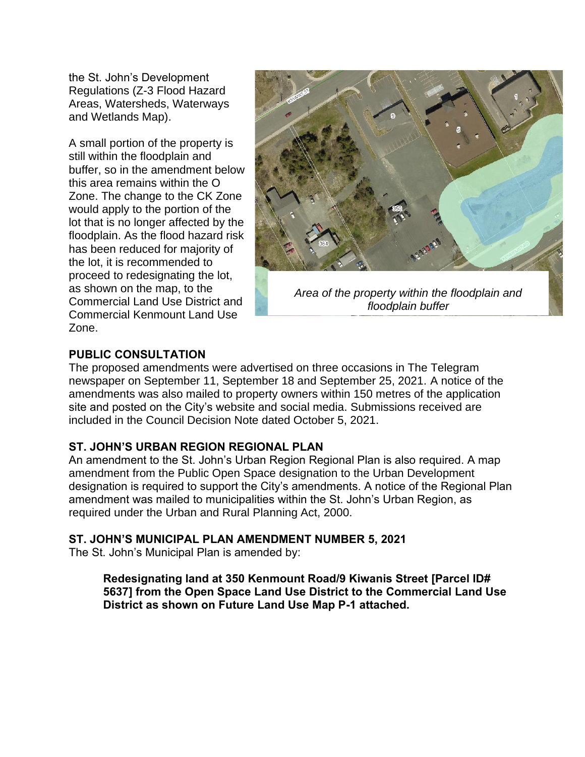the St. John's Development Regulations (Z-3 Flood Hazard Areas, Watersheds, Waterways and Wetlands Map).

A small portion of the property is still within the floodplain and buffer, so in the amendment below this area remains within the O Zone. The change to the CK Zone would apply to the portion of the lot that is no longer affected by the floodplain. As the flood hazard risk has been reduced for majority of the lot, it is recommended to proceed to redesignating the lot, as shown on the map, to the Commercial Land Use District and Commercial Kenmount Land Use Zone.



*Area of the property within the floodplain and floodplain buffer*

#### **PUBLIC CONSULTATION**

The proposed amendments were advertised on three occasions in The Telegram newspaper on September 11, September 18 and September 25, 2021. A notice of the amendments was also mailed to property owners within 150 metres of the application site and posted on the City's website and social media. Submissions received are included in the Council Decision Note dated October 5, 2021.

#### **ST. JOHN'S URBAN REGION REGIONAL PLAN**

An amendment to the St. John's Urban Region Regional Plan is also required. A map amendment from the Public Open Space designation to the Urban Development designation is required to support the City's amendments. A notice of the Regional Plan amendment was mailed to municipalities within the St. John's Urban Region, as required under the Urban and Rural Planning Act, 2000.

#### **ST. JOHN'S MUNICIPAL PLAN AMENDMENT NUMBER 5, 2021**

The St. John's Municipal Plan is amended by:

**Redesignating land at 350 Kenmount Road/9 Kiwanis Street [Parcel ID# 5637] from the Open Space Land Use District to the Commercial Land Use District as shown on Future Land Use Map P-1 attached.**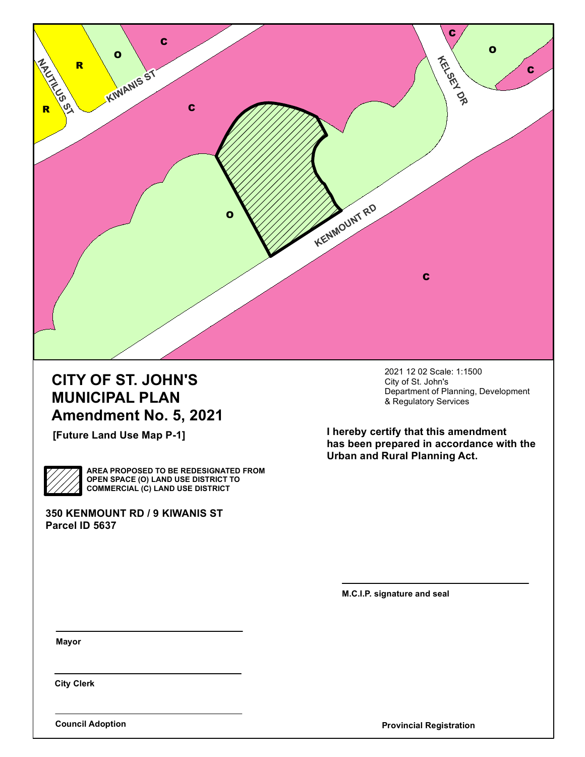

## **CITY OF ST. JOHN'S MUNICIPAL PLAN Amendment No. 5, 2021**

**[Future Land Use Map P-1]**

**AREA PROPOSED TO BE REDESIGNATED FROM OPEN SPACE (O) LAND USE DISTRICT TO COMMERCIAL (C) LAND USE DISTRICT**

**350 KENMOUNT RD / 9 KIWANIS ST Parcel ID 5637**

2021 12 02 Scale: 1:1500 City of St. John's Department of Planning, Development & Regulatory Services

**I hereby certify that this amendment has been prepared in accordance with the Urban and Rural Planning Act.**

**M.C.I.P. signature and seal**

**Mayor**

**City Clerk**

**Council Adoption Provincial Registration**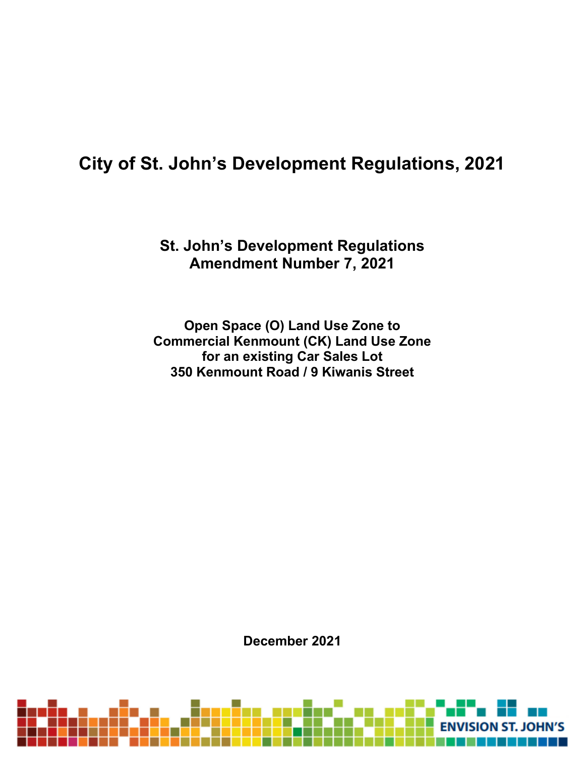## **City of St. John's Development Regulations, 2021**

## **St. John's Development Regulations Amendment Number 7, 2021**

**Open Space (O) Land Use Zone to Commercial Kenmount (CK) Land Use Zone for an existing Car Sales Lot 350 Kenmount Road / 9 Kiwanis Street**

**December 2021**

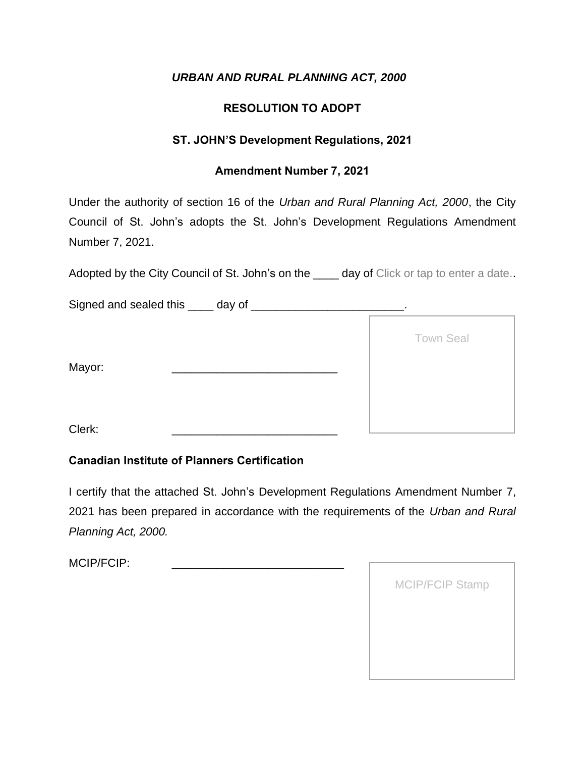#### **RESOLUTION TO ADOPT**

#### **ST. JOHN'S Development Regulations, 2021**

#### **Amendment Number 7, 2021**

Under the authority of section 16 of the *Urban and Rural Planning Act, 2000*, the City Council of St. John's adopts the St. John's Development Regulations Amendment Number 7, 2021.

Adopted by the City Council of St. John's on the \_\_\_\_ day of Click or tap to enter a date..

Signed and sealed this \_\_\_\_ day of \_\_\_\_\_\_\_\_\_\_\_\_\_\_\_\_\_\_\_\_\_\_.

|        | <b>Town Seal</b> |
|--------|------------------|
| Mayor: |                  |
| Clerk: |                  |

#### **Canadian Institute of Planners Certification**

I certify that the attached St. John's Development Regulations Amendment Number 7, 2021 has been prepared in accordance with the requirements of the *Urban and Rural Planning Act, 2000.*

| <b>MCIP/FCIP Stamp</b> |
|------------------------|
|                        |
|                        |
|                        |
|                        |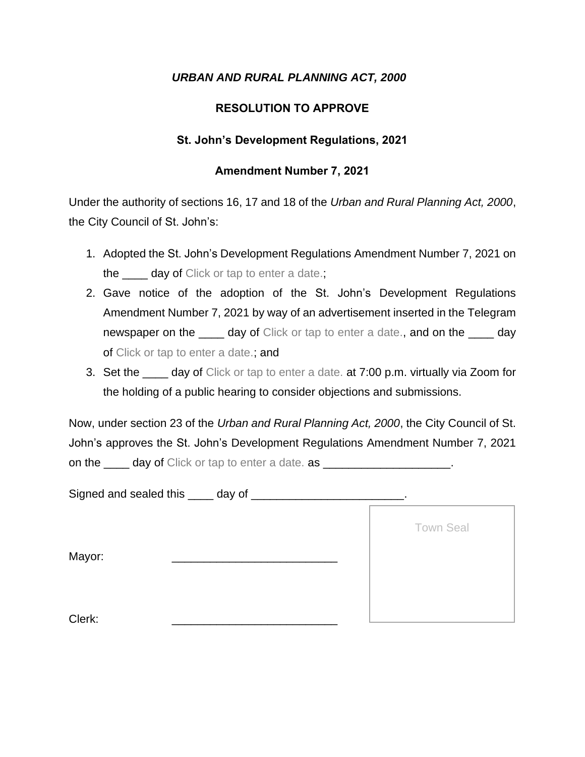#### **RESOLUTION TO APPROVE**

#### **St. John's Development Regulations, 2021**

#### **Amendment Number 7, 2021**

Under the authority of sections 16, 17 and 18 of the *Urban and Rural Planning Act, 2000*, the City Council of St. John's:

- 1. Adopted the St. John's Development Regulations Amendment Number 7, 2021 on the <u>secon</u> day of Click or tap to enter a date.;
- 2. Gave notice of the adoption of the St. John's Development Regulations Amendment Number 7, 2021 by way of an advertisement inserted in the Telegram newspaper on the \_\_\_\_ day of Click or tap to enter a date., and on the \_\_\_\_ day of Click or tap to enter a date.; and
- 3. Set the \_\_\_\_ day of Click or tap to enter a date. at 7:00 p.m. virtually via Zoom for the holding of a public hearing to consider objections and submissions.

Now, under section 23 of the *Urban and Rural Planning Act, 2000*, the City Council of St. John's approves the St. John's Development Regulations Amendment Number 7, 2021 on the day of Click or tap to enter a date. as  $\blacksquare$ 

Signed and sealed this \_\_\_\_ day of \_\_\_\_\_\_\_\_\_\_\_\_\_\_\_\_\_\_\_\_\_\_\_\_.

Mayor:

Town Seal

Clerk: \_\_\_\_\_\_\_\_\_\_\_\_\_\_\_\_\_\_\_\_\_\_\_\_\_\_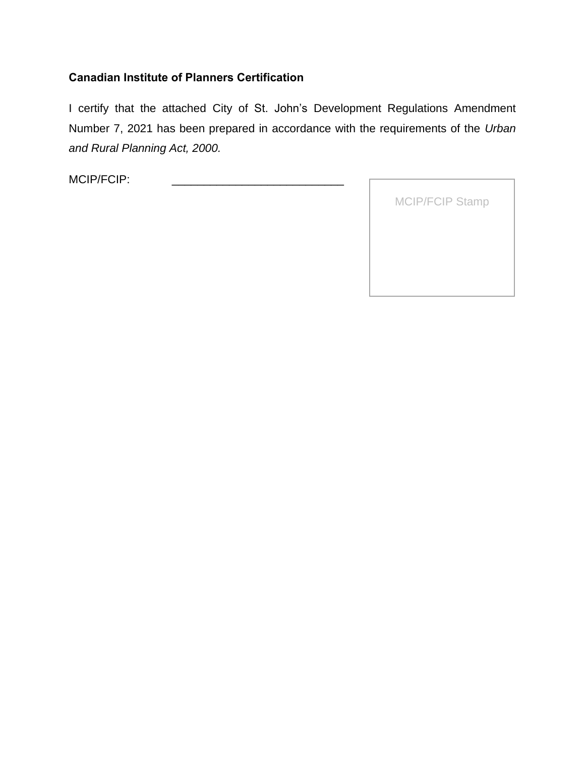#### **Canadian Institute of Planners Certification**

I certify that the attached City of St. John's Development Regulations Amendment Number 7, 2021 has been prepared in accordance with the requirements of the *Urban and Rural Planning Act, 2000.*

| <b>MCIP/FCIP Stamp</b> |
|------------------------|
|                        |
|                        |
|                        |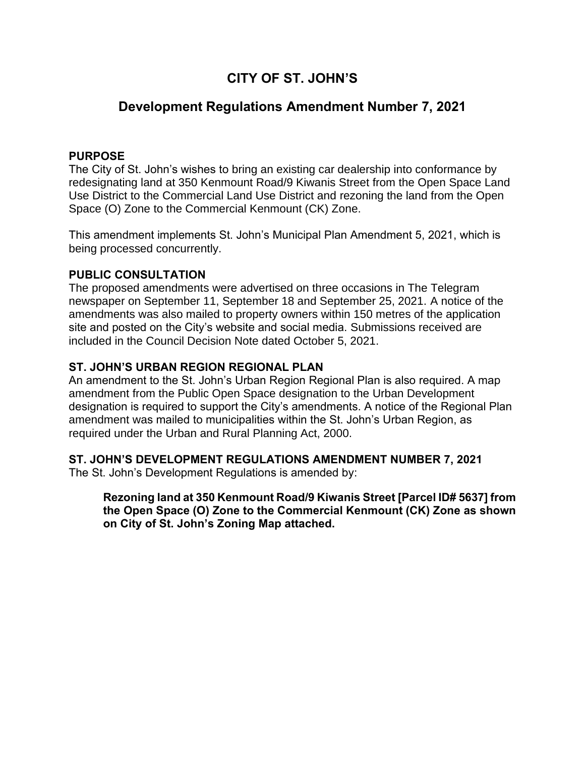## **CITY OF ST. JOHN'S**

### **Development Regulations Amendment Number 7, 2021**

#### **PURPOSE**

The City of St. John's wishes to bring an existing car dealership into conformance by redesignating land at 350 Kenmount Road/9 Kiwanis Street from the Open Space Land Use District to the Commercial Land Use District and rezoning the land from the Open Space (O) Zone to the Commercial Kenmount (CK) Zone.

This amendment implements St. John's Municipal Plan Amendment 5, 2021, which is being processed concurrently.

#### **PUBLIC CONSULTATION**

The proposed amendments were advertised on three occasions in The Telegram newspaper on September 11, September 18 and September 25, 2021. A notice of the amendments was also mailed to property owners within 150 metres of the application site and posted on the City's website and social media. Submissions received are included in the Council Decision Note dated October 5, 2021.

#### **ST. JOHN'S URBAN REGION REGIONAL PLAN**

An amendment to the St. John's Urban Region Regional Plan is also required. A map amendment from the Public Open Space designation to the Urban Development designation is required to support the City's amendments. A notice of the Regional Plan amendment was mailed to municipalities within the St. John's Urban Region, as required under the Urban and Rural Planning Act, 2000.

#### **ST. JOHN'S DEVELOPMENT REGULATIONS AMENDMENT NUMBER 7, 2021**

The St. John's Development Regulations is amended by:

#### **Rezoning land at 350 Kenmount Road/9 Kiwanis Street [Parcel ID# 5637] from the Open Space (O) Zone to the Commercial Kenmount (CK) Zone as shown on City of St. John's Zoning Map attached.**